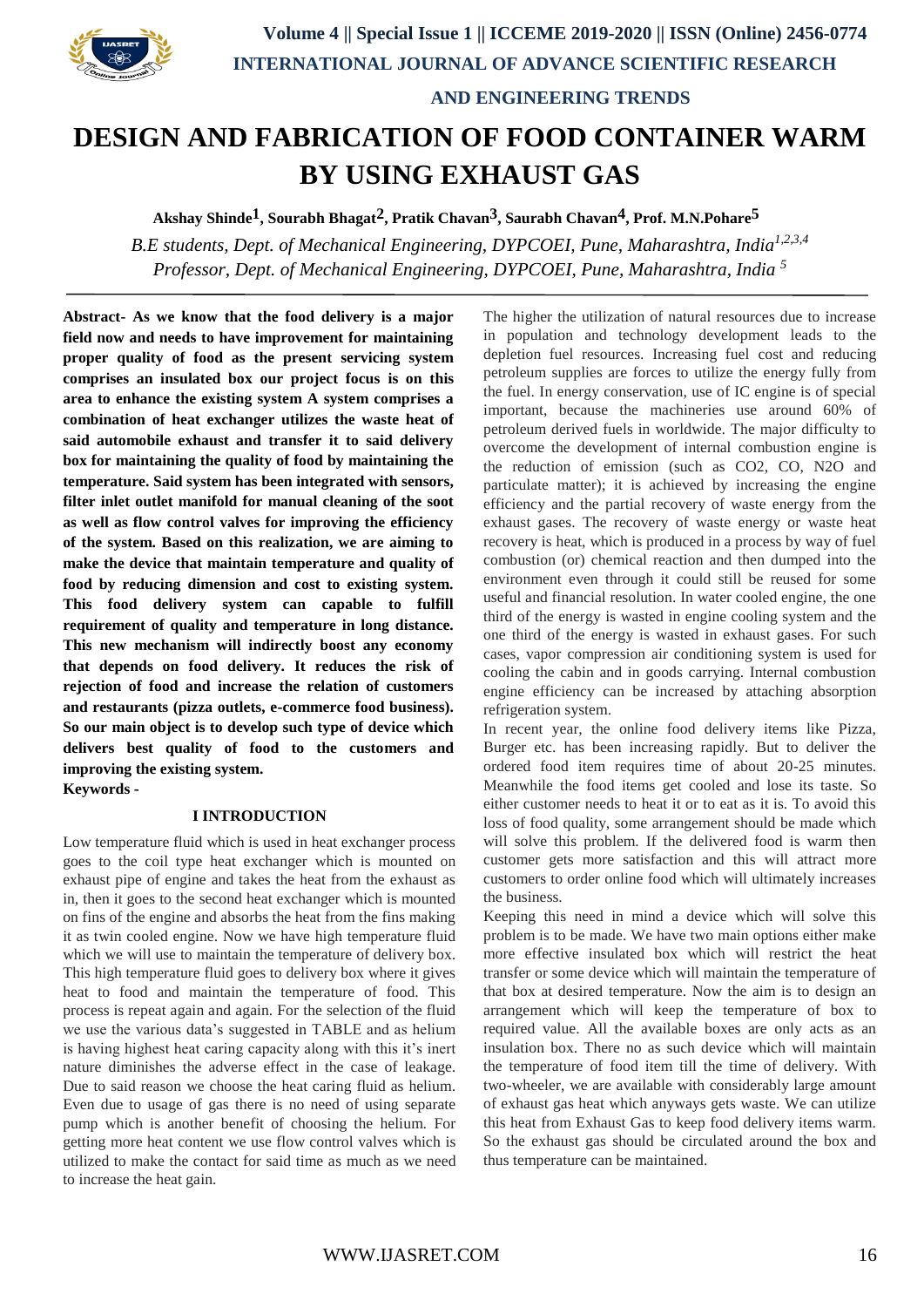

 **AND ENGINEERING TRENDS**

# **DESIGN AND FABRICATION OF FOOD CONTAINER WARM BY USING EXHAUST GAS**

**Akshay Shinde1, Sourabh Bhagat2, Pratik Chavan3, Saurabh Chavan4, Prof. M.N.Pohare5**

*B.E students, Dept. of Mechanical Engineering, DYPCOEI, Pune, Maharashtra, India1,2,3,4 Professor, Dept. of Mechanical Engineering, DYPCOEI, Pune, Maharashtra, India <sup>5</sup>*

**Abstract- As we know that the food delivery is a major field now and needs to have improvement for maintaining proper quality of food as the present servicing system comprises an insulated box our project focus is on this area to enhance the existing system A system comprises a combination of heat exchanger utilizes the waste heat of said automobile exhaust and transfer it to said delivery box for maintaining the quality of food by maintaining the temperature. Said system has been integrated with sensors, filter inlet outlet manifold for manual cleaning of the soot as well as flow control valves for improving the efficiency of the system. Based on this realization, we are aiming to make the device that maintain temperature and quality of food by reducing dimension and cost to existing system. This food delivery system can capable to fulfill requirement of quality and temperature in long distance. This new mechanism will indirectly boost any economy that depends on food delivery. It reduces the risk of rejection of food and increase the relation of customers and restaurants (pizza outlets, e-commerce food business). So our main object is to develop such type of device which delivers best quality of food to the customers and improving the existing system. Keywords -**

#### **I INTRODUCTION**

Low temperature fluid which is used in heat exchanger process goes to the coil type heat exchanger which is mounted on exhaust pipe of engine and takes the heat from the exhaust as in, then it goes to the second heat exchanger which is mounted on fins of the engine and absorbs the heat from the fins making it as twin cooled engine. Now we have high temperature fluid which we will use to maintain the temperature of delivery box. This high temperature fluid goes to delivery box where it gives heat to food and maintain the temperature of food. This process is repeat again and again. For the selection of the fluid we use the various data's suggested in TABLE and as helium is having highest heat caring capacity along with this it's inert nature diminishes the adverse effect in the case of leakage. Due to said reason we choose the heat caring fluid as helium. Even due to usage of gas there is no need of using separate pump which is another benefit of choosing the helium. For getting more heat content we use flow control valves which is utilized to make the contact for said time as much as we need to increase the heat gain.

The higher the utilization of natural resources due to increase in population and technology development leads to the depletion fuel resources. Increasing fuel cost and reducing petroleum supplies are forces to utilize the energy fully from the fuel. In energy conservation, use of IC engine is of special important, because the machineries use around 60% of petroleum derived fuels in worldwide. The major difficulty to overcome the development of internal combustion engine is the reduction of emission (such as CO2, CO, N2O and particulate matter); it is achieved by increasing the engine efficiency and the partial recovery of waste energy from the exhaust gases. The recovery of waste energy or waste heat recovery is heat, which is produced in a process by way of fuel combustion (or) chemical reaction and then dumped into the environment even through it could still be reused for some useful and financial resolution. In water cooled engine, the one third of the energy is wasted in engine cooling system and the one third of the energy is wasted in exhaust gases. For such cases, vapor compression air conditioning system is used for cooling the cabin and in goods carrying. Internal combustion engine efficiency can be increased by attaching absorption refrigeration system.

In recent year, the online food delivery items like Pizza, Burger etc. has been increasing rapidly. But to deliver the ordered food item requires time of about 20-25 minutes. Meanwhile the food items get cooled and lose its taste. So either customer needs to heat it or to eat as it is. To avoid this loss of food quality, some arrangement should be made which will solve this problem. If the delivered food is warm then customer gets more satisfaction and this will attract more customers to order online food which will ultimately increases the business.

Keeping this need in mind a device which will solve this problem is to be made. We have two main options either make more effective insulated box which will restrict the heat transfer or some device which will maintain the temperature of that box at desired temperature. Now the aim is to design an arrangement which will keep the temperature of box to required value. All the available boxes are only acts as an insulation box. There no as such device which will maintain the temperature of food item till the time of delivery. With two-wheeler, we are available with considerably large amount of exhaust gas heat which anyways gets waste. We can utilize this heat from Exhaust Gas to keep food delivery items warm. So the exhaust gas should be circulated around the box and thus temperature can be maintained.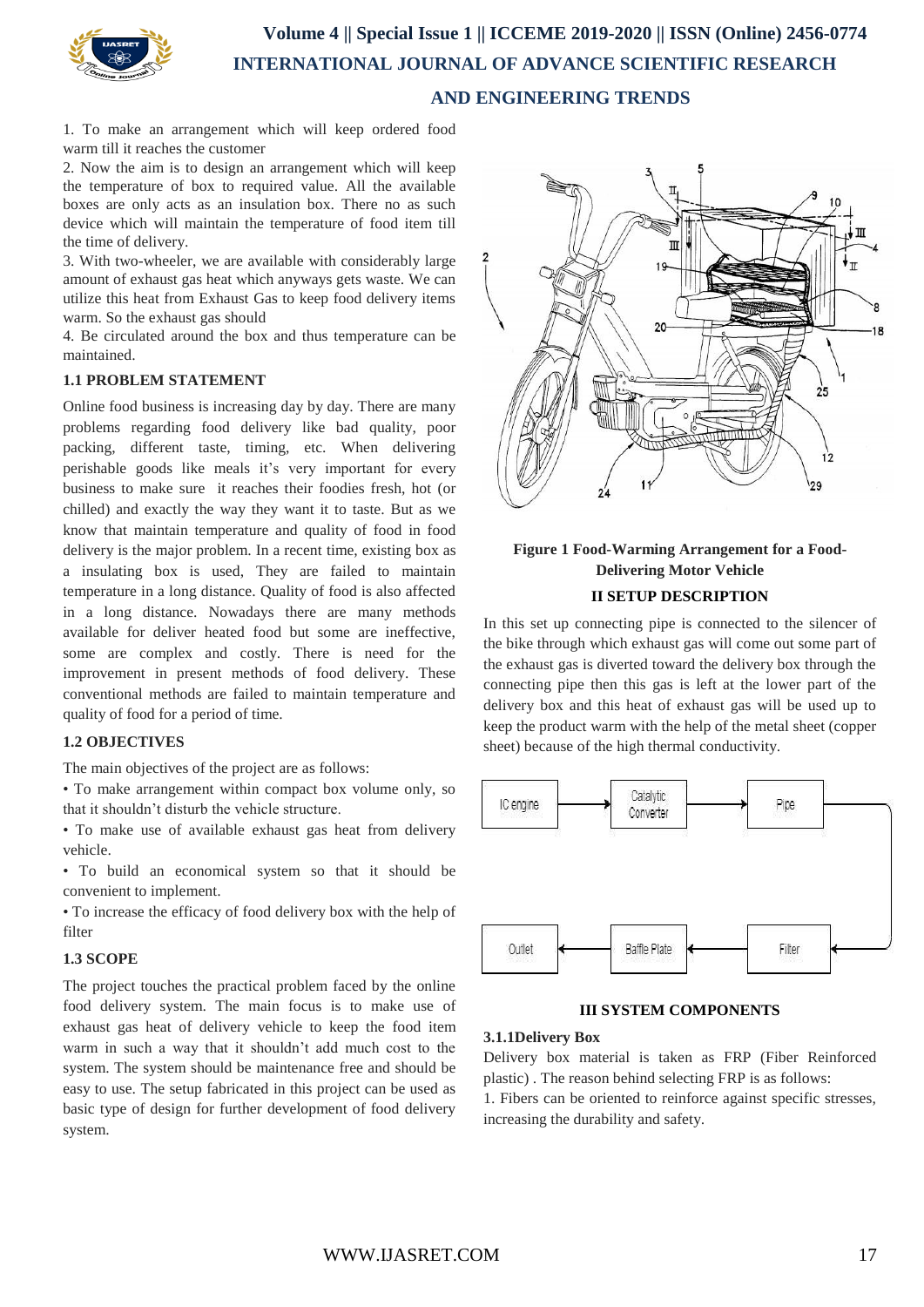

# **Volume 4 || Special Issue 1 || ICCEME 2019-2020 || ISSN (Online) 2456-0774 INTERNATIONAL JOURNAL OF ADVANCE SCIENTIFIC RESEARCH AND ENGINEERING TRENDS**

1. To make an arrangement which will keep ordered food warm till it reaches the customer

2. Now the aim is to design an arrangement which will keep the temperature of box to required value. All the available boxes are only acts as an insulation box. There no as such device which will maintain the temperature of food item till the time of delivery.

3. With two-wheeler, we are available with considerably large amount of exhaust gas heat which anyways gets waste. We can utilize this heat from Exhaust Gas to keep food delivery items warm. So the exhaust gas should

4. Be circulated around the box and thus temperature can be maintained.

#### **1.1 PROBLEM STATEMENT**

Online food business is increasing day by day. There are many problems regarding food delivery like bad quality, poor packing, different taste, timing, etc. When delivering perishable goods like meals it's very important for every business to make sure it reaches their foodies fresh, hot (or chilled) and exactly the way they want it to taste. But as we know that maintain temperature and quality of food in food delivery is the major problem. In a recent time, existing box as a insulating box is used, They are failed to maintain temperature in a long distance. Quality of food is also affected in a long distance. Nowadays there are many methods available for deliver heated food but some are ineffective, some are complex and costly. There is need for the improvement in present methods of food delivery. These conventional methods are failed to maintain temperature and quality of food for a period of time.

#### **1.2 OBJECTIVES**

The main objectives of the project are as follows:

• To make arrangement within compact box volume only, so that it shouldn't disturb the vehicle structure.

• To make use of available exhaust gas heat from delivery vehicle.

• To build an economical system so that it should be convenient to implement.

• To increase the efficacy of food delivery box with the help of filter

### **1.3 SCOPE**

The project touches the practical problem faced by the online food delivery system. The main focus is to make use of exhaust gas heat of delivery vehicle to keep the food item warm in such a way that it shouldn't add much cost to the system. The system should be maintenance free and should be easy to use. The setup fabricated in this project can be used as basic type of design for further development of food delivery system.



### **Figure 1 Food-Warming Arrangement for a Food-Delivering Motor Vehicle II SETUP DESCRIPTION**

In this set up connecting pipe is connected to the silencer of the bike through which exhaust gas will come out some part of the exhaust gas is diverted toward the delivery box through the connecting pipe then this gas is left at the lower part of the delivery box and this heat of exhaust gas will be used up to keep the product warm with the help of the metal sheet (copper sheet) because of the high thermal conductivity.



**III SYSTEM COMPONENTS**

### **3.1.1Delivery Box**

Delivery box material is taken as FRP (Fiber Reinforced plastic) . The reason behind selecting FRP is as follows:

1. Fibers can be oriented to reinforce against specific stresses, increasing the durability and safety.